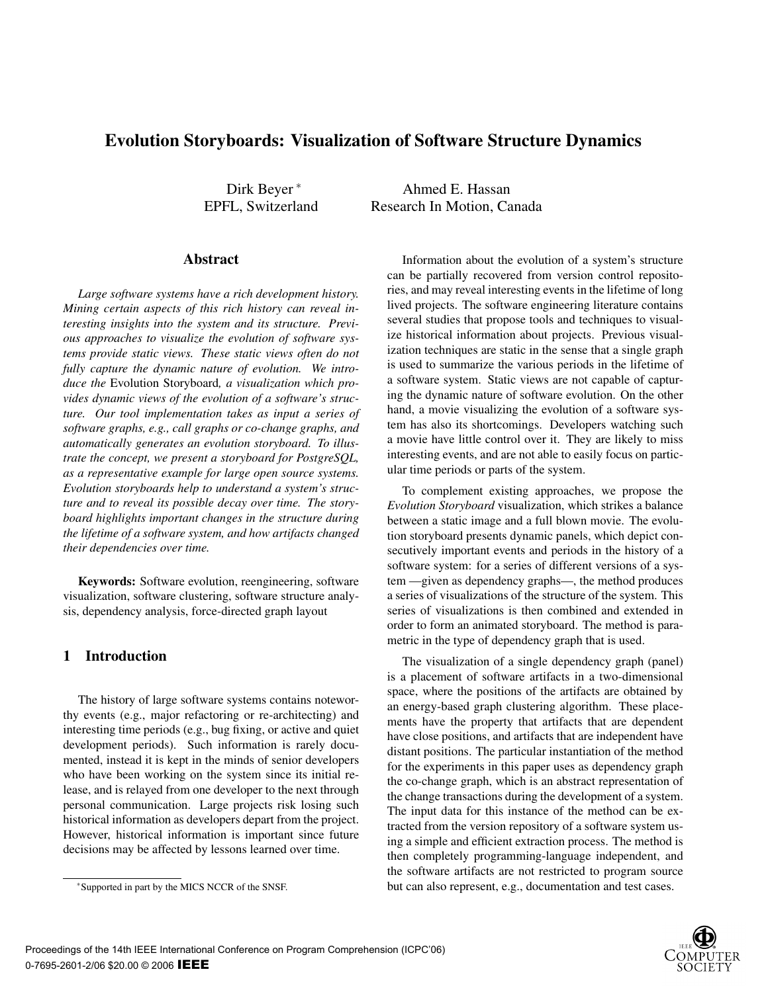# Evolution Storyboards: Visualization of Software Structure Dynamics

Dirk Beyer <sup>∗</sup> EPFL, Switzerland

Ahmed E. Hassan Research In Motion, Canada

#### Abstract

*Large software systems have a rich development history. Mining certain aspects of this rich history can reveal interesting insights into the system and its structure. Previous approaches to visualize the evolution of software systems provide static views. These static views often do not fully capture the dynamic nature of evolution. We introduce the* Evolution Storyboard*, a visualization which provides dynamic views of the evolution of a software's structure. Our tool implementation takes as input a series of software graphs, e.g., call graphs or co-change graphs, and automatically generates an evolution storyboard. To illustrate the concept, we present a storyboard for PostgreSQL, as a representative example for large open source systems. Evolution storyboards help to understand a system's structure and to reveal its possible decay over time. The storyboard highlights important changes in the structure during the lifetime of a software system, and how artifacts changed their dependencies over time.*

Keywords: Software evolution, reengineering, software visualization, software clustering, software structure analysis, dependency analysis, force-directed graph layout

# 1 Introduction

The history of large software systems contains noteworthy events (e.g., major refactoring or re-architecting) and interesting time periods (e.g., bug fixing, or active and quiet development periods). Such information is rarely documented, instead it is kept in the minds of senior developers who have been working on the system since its initial release, and is relayed from one developer to the next through personal communication. Large projects risk losing such historical information as developers depart from the project. However, historical information is important since future decisions may be affected by lessons learned over time.

Information about the evolution of a system's structure can be partially recovered from version control repositories, and may reveal interesting events in the lifetime of long lived projects. The software engineering literature contains several studies that propose tools and techniques to visualize historical information about projects. Previous visualization techniques are static in the sense that a single graph is used to summarize the various periods in the lifetime of a software system. Static views are not capable of capturing the dynamic nature of software evolution. On the other hand, a movie visualizing the evolution of a software system has also its shortcomings. Developers watching such a movie have little control over it. They are likely to miss interesting events, and are not able to easily focus on particular time periods or parts of the system.

To complement existing approaches, we propose the *Evolution Storyboard* visualization, which strikes a balance between a static image and a full blown movie. The evolution storyboard presents dynamic panels, which depict consecutively important events and periods in the history of a software system: for a series of different versions of a system —given as dependency graphs—, the method produces a series of visualizations of the structure of the system. This series of visualizations is then combined and extended in order to form an animated storyboard. The method is parametric in the type of dependency graph that is used.

The visualization of a single dependency graph (panel) is a placement of software artifacts in a two-dimensional space, where the positions of the artifacts are obtained by an energy-based graph clustering algorithm. These placements have the property that artifacts that are dependent have close positions, and artifacts that are independent have distant positions. The particular instantiation of the method for the experiments in this paper uses as dependency graph the co-change graph, which is an abstract representation of the change transactions during the development of a system. The input data for this instance of the method can be extracted from the version repository of a software system using a simple and efficient extraction process. The method is then completely programming-language independent, and the software artifacts are not restricted to program source but can also represent, e.g., documentation and test cases.



<sup>∗</sup>Supported in part by the MICS NCCR of the SNSF.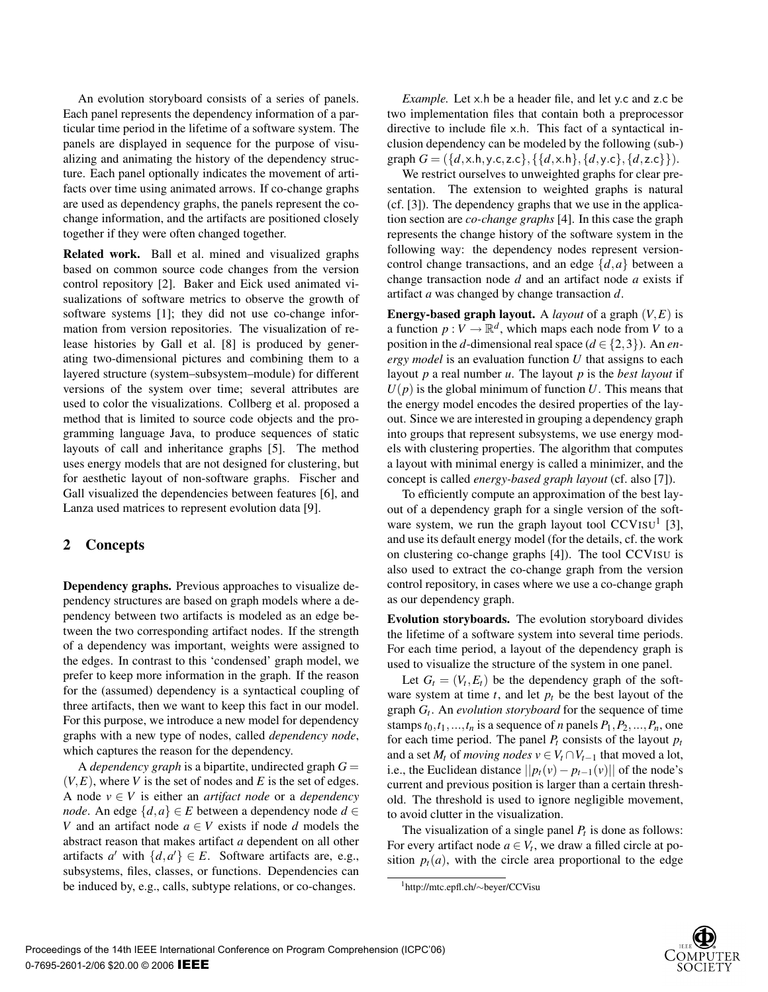An evolution storyboard consists of a series of panels. Each panel represents the dependency information of a particular time period in the lifetime of a software system. The panels are displayed in sequence for the purpose of visualizing and animating the history of the dependency structure. Each panel optionally indicates the movement of artifacts over time using animated arrows. If co-change graphs are used as dependency graphs, the panels represent the cochange information, and the artifacts are positioned closely together if they were often changed together.

Related work. Ball et al. mined and visualized graphs based on common source code changes from the version control repository [2]. Baker and Eick used animated visualizations of software metrics to observe the growth of software systems [1]; they did not use co-change information from version repositories. The visualization of release histories by Gall et al. [8] is produced by generating two-dimensional pictures and combining them to a layered structure (system–subsystem–module) for different versions of the system over time; several attributes are used to color the visualizations. Collberg et al. proposed a method that is limited to source code objects and the programming language Java, to produce sequences of static layouts of call and inheritance graphs [5]. The method uses energy models that are not designed for clustering, but for aesthetic layout of non-software graphs. Fischer and Gall visualized the dependencies between features [6], and Lanza used matrices to represent evolution data [9].

#### 2 Concepts

Dependency graphs. Previous approaches to visualize dependency structures are based on graph models where a dependency between two artifacts is modeled as an edge between the two corresponding artifact nodes. If the strength of a dependency was important, weights were assigned to the edges. In contrast to this 'condensed' graph model, we prefer to keep more information in the graph. If the reason for the (assumed) dependency is a syntactical coupling of three artifacts, then we want to keep this fact in our model. For this purpose, we introduce a new model for dependency graphs with a new type of nodes, called *dependency node*, which captures the reason for the dependency.

A *dependency graph* is a bipartite, undirected graph  $G =$  $(V, E)$ , where *V* is the set of nodes and *E* is the set of edges. A node  $v \in V$  is either an *artifact node* or a *dependency node*. An edge  $\{d, a\}$  ∈ *E* between a dependency node  $d$  ∈ *V* and an artifact node  $a \in V$  exists if node *d* models the abstract reason that makes artifact *a* dependent on all other artifacts *a'* with  $\{d, a'\} \in E$ . Software artifacts are, e.g., subsystems, files, classes, or functions. Dependencies can be induced by, e.g., calls, subtype relations, or co-changes.

*Example.* Let x.h be a header file, and let y.c and z.c be two implementation files that contain both a preprocessor directive to include file x.h. This fact of a syntactical inclusion dependency can be modeled by the following (sub-) graph  $G = (\{d, x, h, y, c, z, c\}, \{\{d, x, h\}, \{d, y, c\}, \{d, z, c\}\}).$ 

We restrict ourselves to unweighted graphs for clear presentation. The extension to weighted graphs is natural (cf. [3]). The dependency graphs that we use in the application section are *co-change graphs* [4]. In this case the graph represents the change history of the software system in the following way: the dependency nodes represent versioncontrol change transactions, and an edge {*d*,*a*} between a change transaction node *d* and an artifact node *a* exists if artifact *a* was changed by change transaction *d*.

Energy-based graph layout. A *layout* of a graph (*V*,*E*) is a function  $p: V \to \mathbb{R}^d$ , which maps each node from *V* to a position in the *d*-dimensional real space ( $d \in \{2,3\}$ ). An *energy model* is an evaluation function *U* that assigns to each layout *p* a real number *u*. The layout *p* is the *best layout* if  $U(p)$  is the global minimum of function U. This means that the energy model encodes the desired properties of the layout. Since we are interested in grouping a dependency graph into groups that represent subsystems, we use energy models with clustering properties. The algorithm that computes a layout with minimal energy is called a minimizer, and the concept is called *energy-based graph layout* (cf. also [7]).

To efficiently compute an approximation of the best layout of a dependency graph for a single version of the software system, we run the graph layout tool  $CCVISU<sup>1</sup>$  [3], and use its default energy model (for the details, cf. the work on clustering co-change graphs [4]). The tool CCVISU is also used to extract the co-change graph from the version control repository, in cases where we use a co-change graph as our dependency graph.

Evolution storyboards. The evolution storyboard divides the lifetime of a software system into several time periods. For each time period, a layout of the dependency graph is used to visualize the structure of the system in one panel.

Let  $G_t = (V_t, E_t)$  be the dependency graph of the software system at time  $t$ , and let  $p_t$  be the best layout of the graph *Gt*. An *evolution storyboard* for the sequence of time stamps  $t_0, t_1, \ldots, t_n$  is a sequence of *n* panels  $P_1, P_2, \ldots, P_n$ , one for each time period. The panel  $P_t$  consists of the layout  $p_t$ and a set  $M_t$  of *moving nodes*  $v \in V_t \cap V_{t-1}$  that moved a lot, i.e., the Euclidean distance  $||p_t(v) - p_{t-1}(v)||$  of the node's current and previous position is larger than a certain threshold. The threshold is used to ignore negligible movement, to avoid clutter in the visualization.

The visualization of a single panel  $P_t$  is done as follows: For every artifact node  $a \in V_t$ , we draw a filled circle at position  $p_t(a)$ , with the circle area proportional to the edge

<sup>1</sup>http://mtc.epfl.ch/∼beyer/CCVisu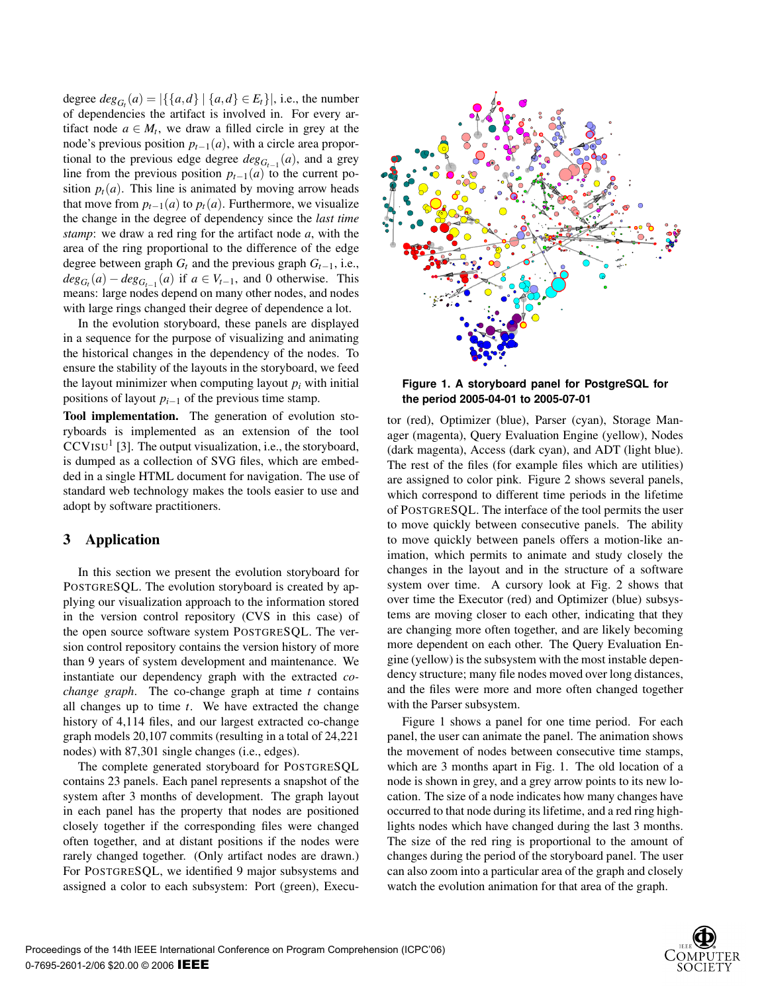degree  $deg_{G_t}(a) = |\{\{a,d\} | \{a,d\} \in E_t\}|$ , i.e., the number of dependencies the artifact is involved in. For every artifact node  $a \in M_t$ , we draw a filled circle in grey at the node's previous position *pt*<sup>−</sup>1(*a*), with a circle area proportional to the previous edge degree  $deg_{G_{t-1}}(a)$ , and a grey line from the previous position  $p_{t-1}(a)$  to the current position  $p_t(a)$ . This line is animated by moving arrow heads that move from  $p_{t-1}(a)$  to  $p_t(a)$ . Furthermore, we visualize the change in the degree of dependency since the *last time stamp*: we draw a red ring for the artifact node *a*, with the area of the ring proportional to the difference of the edge degree between graph  $G_t$  and the previous graph  $G_{t-1}$ , i.e.,  $deg_{G_t}(a) - deg_{G_{t-1}}(a)$  if  $a \in V_{t-1}$ , and 0 otherwise. This means: large nodes depend on many other nodes, and nodes with large rings changed their degree of dependence a lot.

In the evolution storyboard, these panels are displayed in a sequence for the purpose of visualizing and animating the historical changes in the dependency of the nodes. To ensure the stability of the layouts in the storyboard, we feed the layout minimizer when computing layout  $p_i$  with initial positions of layout *pi*<sup>−</sup><sup>1</sup> of the previous time stamp.

Tool implementation. The generation of evolution storyboards is implemented as an extension of the tool  $CCVISU<sup>1</sup>$  [3]. The output visualization, i.e., the storyboard, is dumped as a collection of SVG files, which are embedded in a single HTML document for navigation. The use of standard web technology makes the tools easier to use and adopt by software practitioners.

## 3 Application

In this section we present the evolution storyboard for POSTGRESQL. The evolution storyboard is created by applying our visualization approach to the information stored in the version control repository (CVS in this case) of the open source software system POSTGRESQL. The version control repository contains the version history of more than 9 years of system development and maintenance. We instantiate our dependency graph with the extracted *cochange graph*. The co-change graph at time *t* contains all changes up to time *t*. We have extracted the change history of 4,114 files, and our largest extracted co-change graph models 20,107 commits (resulting in a total of 24,221 nodes) with 87,301 single changes (i.e., edges).

The complete generated storyboard for POSTGRESQL contains 23 panels. Each panel represents a snapshot of the system after 3 months of development. The graph layout in each panel has the property that nodes are positioned closely together if the corresponding files were changed often together, and at distant positions if the nodes were rarely changed together. (Only artifact nodes are drawn.) For POSTGRESQL, we identified 9 major subsystems and assigned a color to each subsystem: Port (green), Execu-



**Figure 1. A storyboard panel for PostgreSQL for the period 2005-04-01 to 2005-07-01**

tor (red), Optimizer (blue), Parser (cyan), Storage Manager (magenta), Query Evaluation Engine (yellow), Nodes (dark magenta), Access (dark cyan), and ADT (light blue). The rest of the files (for example files which are utilities) are assigned to color pink. Figure 2 shows several panels, which correspond to different time periods in the lifetime of POSTGRESQL. The interface of the tool permits the user to move quickly between consecutive panels. The ability to move quickly between panels offers a motion-like animation, which permits to animate and study closely the changes in the layout and in the structure of a software system over time. A cursory look at Fig. 2 shows that over time the Executor (red) and Optimizer (blue) subsystems are moving closer to each other, indicating that they are changing more often together, and are likely becoming more dependent on each other. The Query Evaluation Engine (yellow) is the subsystem with the most instable dependency structure; many file nodes moved over long distances, and the files were more and more often changed together with the Parser subsystem.

Figure 1 shows a panel for one time period. For each panel, the user can animate the panel. The animation shows the movement of nodes between consecutive time stamps, which are 3 months apart in Fig. 1. The old location of a node is shown in grey, and a grey arrow points to its new location. The size of a node indicates how many changes have occurred to that node during its lifetime, and a red ring highlights nodes which have changed during the last 3 months. The size of the red ring is proportional to the amount of changes during the period of the storyboard panel. The user can also zoom into a particular area of the graph and closely watch the evolution animation for that area of the graph.